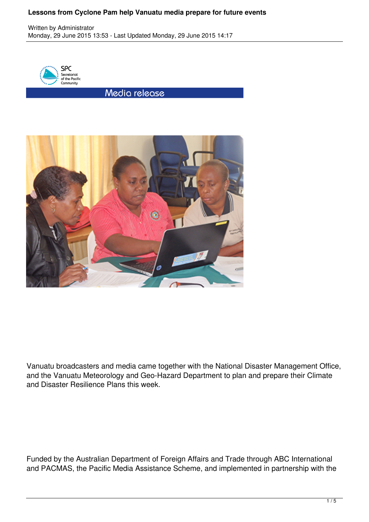## **Lessons from Cyclone Pam help Vanuatu media prepare for future events**

Written by Administrator Monday, 29 June 2015 13:53 - Last Updated Monday, 29 June 2015 14:17



Media release



Vanuatu broadcasters and media came together with the National Disaster Management Office, and the Vanuatu Meteorology and Geo-Hazard Department to plan and prepare their Climate and Disaster Resilience Plans this week.

Funded by the Australian Department of Foreign Affairs and Trade through ABC International and PACMAS, the Pacific Media Assistance Scheme, and implemented in partnership with the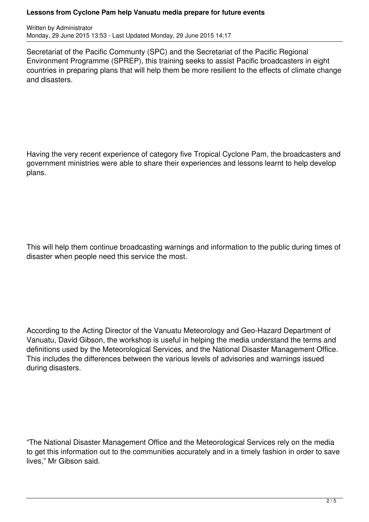## **Lessons from Cyclone Pam help Vanuatu media prepare for future events**

Written by Administrator Monday, 29 June 2015 13:53 - Last Updated Monday, 29 June 2015 14:17

Secretariat of the Pacific Communty (SPC) and the Secretariat of the Pacific Regional Environment Programme (SPREP), this training seeks to assist Pacific broadcasters in eight countries in preparing plans that will help them be more resilient to the effects of climate change and disasters.

Having the very recent experience of category five Tropical Cyclone Pam, the broadcasters and government ministries were able to share their experiences and lessons learnt to help develop plans.

This will help them continue broadcasting warnings and information to the public during times of disaster when people need this service the most.

According to the Acting Director of the Vanuatu Meteorology and Geo-Hazard Department of Vanuatu, David Gibson, the workshop is useful in helping the media understand the terms and definitions used by the Meteorological Services, and the National Disaster Management Office. This includes the differences between the various levels of advisories and warnings issued during disasters.

"The National Disaster Management Office and the Meteorological Services rely on the media to get this information out to the communities accurately and in a timely fashion in order to save lives," Mr Gibson said.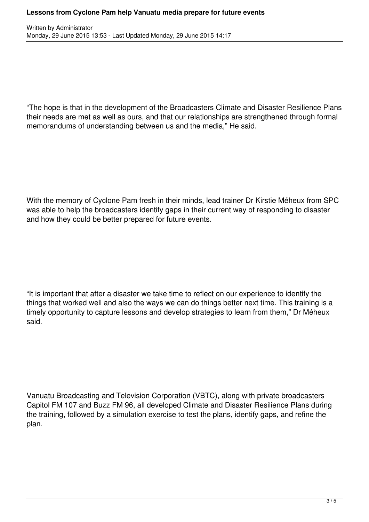"The hope is that in the development of the Broadcasters Climate and Disaster Resilience Plans their needs are met as well as ours, and that our relationships are strengthened through formal memorandums of understanding between us and the media," He said.

With the memory of Cyclone Pam fresh in their minds, lead trainer Dr Kirstie Méheux from SPC was able to help the broadcasters identify gaps in their current way of responding to disaster and how they could be better prepared for future events.

"It is important that after a disaster we take time to reflect on our experience to identify the things that worked well and also the ways we can do things better next time. This training is a timely opportunity to capture lessons and develop strategies to learn from them," Dr Méheux said.

Vanuatu Broadcasting and Television Corporation (VBTC), along with private broadcasters Capitol FM 107 and Buzz FM 96, all developed Climate and Disaster Resilience Plans during the training, followed by a simulation exercise to test the plans, identify gaps, and refine the plan.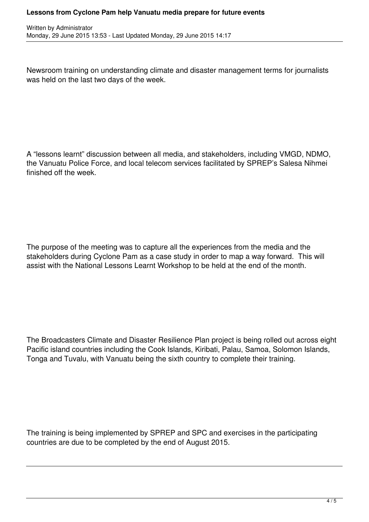## **Lessons from Cyclone Pam help Vanuatu media prepare for future events**

Newsroom training on understanding climate and disaster management terms for journalists was held on the last two days of the week.

A "lessons learnt" discussion between all media, and stakeholders, including VMGD, NDMO, the Vanuatu Police Force, and local telecom services facilitated by SPREP's Salesa Nihmei finished off the week.

The purpose of the meeting was to capture all the experiences from the media and the stakeholders during Cyclone Pam as a case study in order to map a way forward. This will assist with the National Lessons Learnt Workshop to be held at the end of the month.

The Broadcasters Climate and Disaster Resilience Plan project is being rolled out across eight Pacific island countries including the Cook Islands, Kiribati, Palau, Samoa, Solomon Islands, Tonga and Tuvalu, with Vanuatu being the sixth country to complete their training.

The training is being implemented by SPREP and SPC and exercises in the participating countries are due to be completed by the end of August 2015.